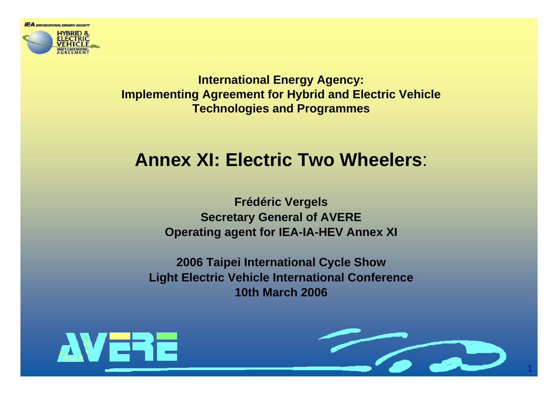

**International Energy Agency: Implementing Agreement for Hybrid and Electric Vehicle Technologies and Programmes**

### **Annex XI: Electric Two Wheelers**:

**Frédéric Vergels Secretary General of AVERE Operating agent for IEA-IA-HEV Annex XI**

**2006 Taipei International Cycle Show Light Electric Vehicle International Conference 10th March 2006**



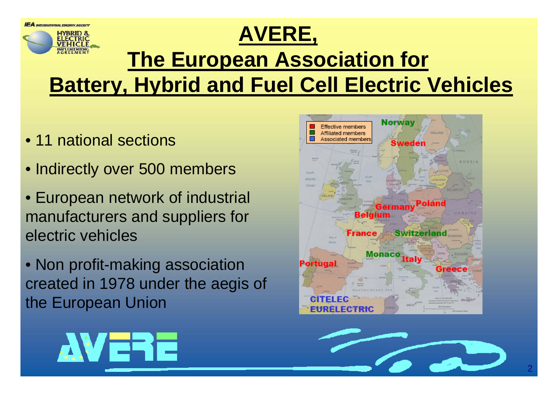

- 11 national sections
- Indirectly over 500 members
- European network of industrial manufacturers and suppliers for electric vehicles

• Non profit-making association created in 1978 under the aegis of the European Union



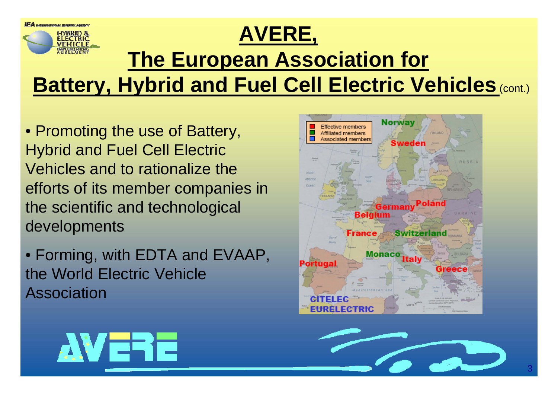

• Promoting the use of Battery, Hybrid and Fuel Cell Electric Vehicles and to rationalize the efforts of its member companies in the scientific and technological developments

• Forming, with EDTA and EVAAP, the World Electric Vehicle Association





3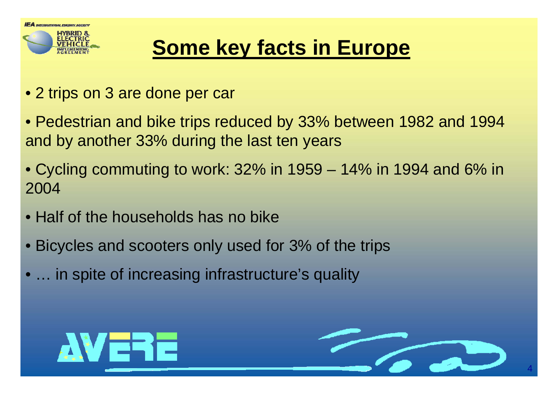

# **Some key facts in Europe**

- 2 trips on 3 are done per car
- Pedestrian and bike trips reduced by 33% between 1982 and 1994 and by another 33% during the last ten years
- Cycling commuting to work: 32% in 1959 14% in 1994 and 6% in 2004
- Half of the households has no bike
- Bicycles and scooters only used for 3% of the trips
- ... in spite of increasing infrastructure's quality



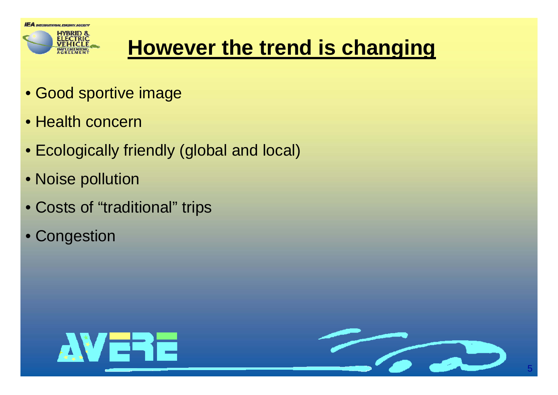

# **However the trend is changing**

- Good sportive image
- Health concern
- Ecologically friendly (global and local)
- Noise pollution
- Costs of "traditional" trips
- Congestion



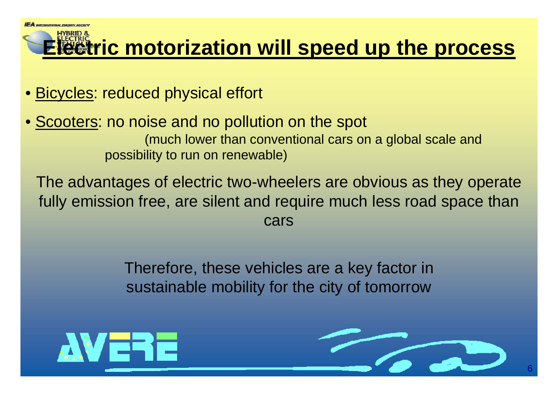### **Electric motorization will speed up the process**

- <u>Bicycles</u>: reduced physical effort
- **Scooters: no noise and no pollution on the spot** (much lower than conventional cars on a global scale and possibility to run on renewable)

The advantages of electric two-wheelers are obvious as they operate fully emission free, are silent and require much less road space than cars

> Therefore, these vehicles are a key factor in sustainable mobility for the city of tomorrow



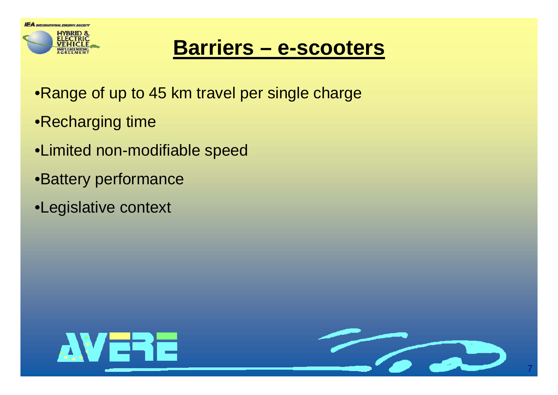

### **Barriers – e-scooters**

- •Range of up to 45 km travel per single charge
- •Recharging time
- •Limited non-modifiable speed
- •Battery performance
- •Legislative context



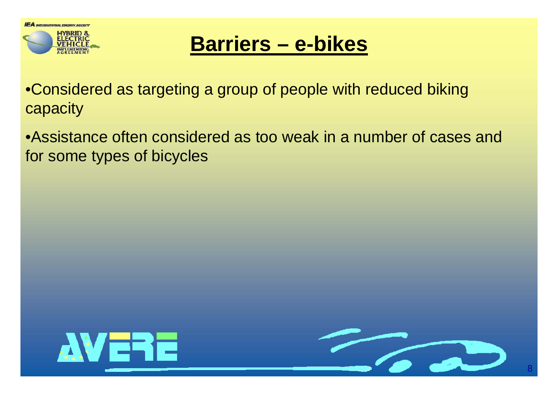

### **Barriers – e-bikes**

•Considered as targeting a group of people with reduced biking capacity

•Assistance often considered as too weak in a number of cases and for some types of bicycles



8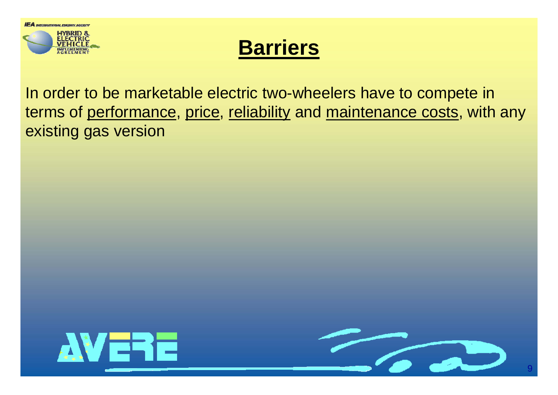

### **Barriers**

In order to be marketable electric two-wheelers have to compete in terms of performance, price, reliability and maintenance costs, with any existing gas version

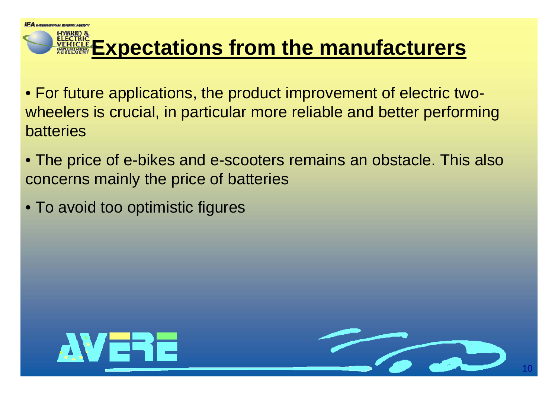### **Expectations from the manufacturers**

• For future applications, the product improvement of electric twowheelers is crucial, in particular more reliable and better performing batteries

- The price of e-bikes and e-scooters remains an obstacle. This also concerns mainly the price of batteries
- To avoid too optimistic figures



10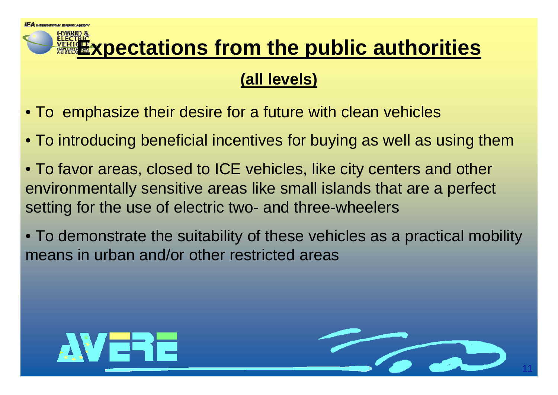## **Expectations from the public authorities**

#### **(all levels)**

- To emphasize their desire for a future with clean vehicles
- To introducing beneficial incentives for buying as well as using them
- To favor areas, closed to ICE vehicles, like city centers and other environmentally sensitive areas like small islands that are a perfect setting for the use of electric two- and three-wheelers
- To demonstrate the suitability of these vehicles as a practical mobility means in urban and/or other restricted areas



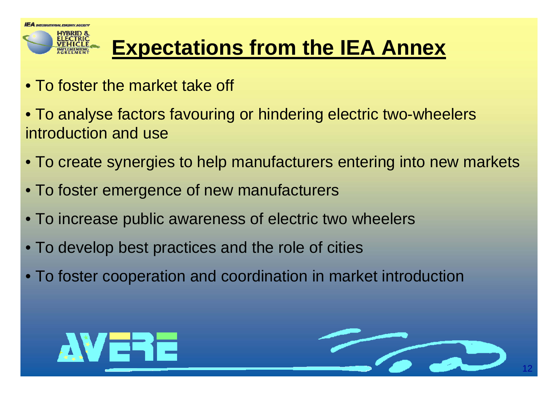

# **Expectations from the IEA Annex**

- To foster the market take off
- To analyse factors favouring or hindering electric two-wheelers introduction and use
- To create synergies to help manufacturers entering into new markets
- To foster emergence of new manufacturers
- To increase public awareness of electric two wheelers
- To develop best practices and the role of cities
- To foster cooperation and coordination in market introduction



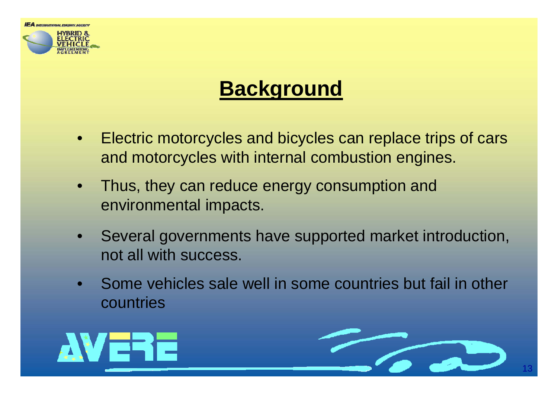



# **Background**

- $\bullet$  Electric motorcycles and bicycles can replace trips of cars and motorcycles with internal combustion engines.
- • Thus, they can reduce energy consumption and environmental impacts.
- • Several governments have supported market introduction, not all with success.
- Some vehicles sale well in some countries but fail in other countries



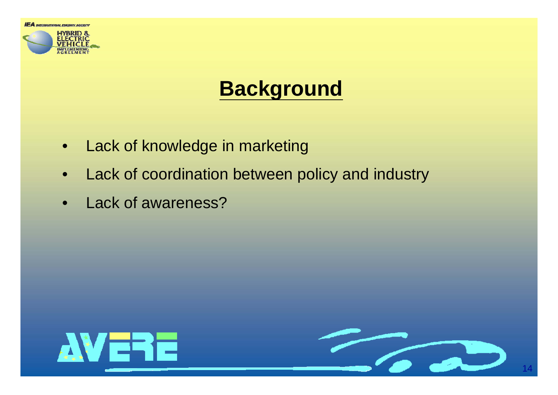

## **Background**

- $\bullet$ Lack of knowledge in marketing
- $\bullet$ Lack of coordination between policy and industry
- $\bullet$ Lack of awareness?

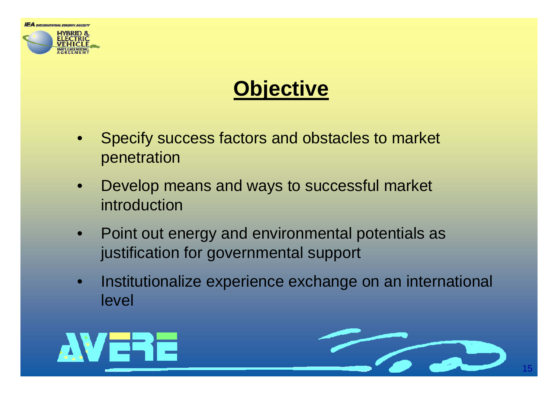



## **Objective**

- • Specify success factors and obstacles to market penetration
- $\bullet$  Develop means and ways to successful market introduction
- $\bullet$  Point out energy and environmental potentials as justification for governmental support
- $\bullet$  Institutionalize experience exchange on an international level



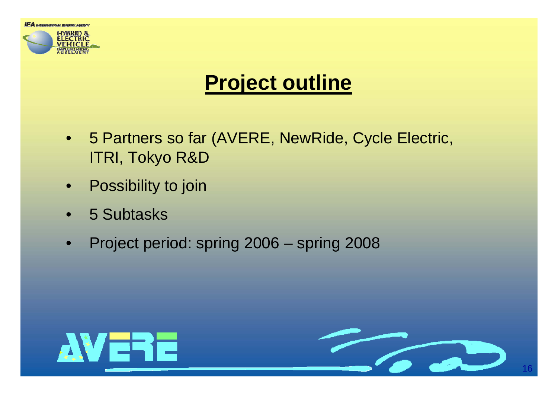

### **Project outline**

- 5 Partners so far (AVERE, NewRide, Cycle Electric, ITRI, Tokyo R&D
- $\bullet$ **Possibility to join**
- •5 Subtasks
- $\bullet$ Project period: spring 2006 – spring 2008



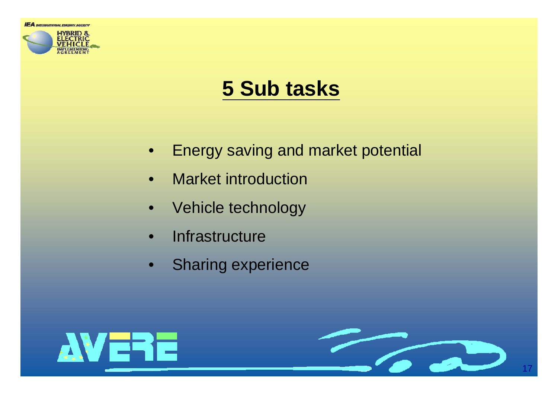

## **5 Sub tasks**

- •Energy saving and market potential
- $\bullet$ Market introduction
- $\bullet$ Vehicle technology
- •**Infrastructure**
- $\bullet$ Sharing experience



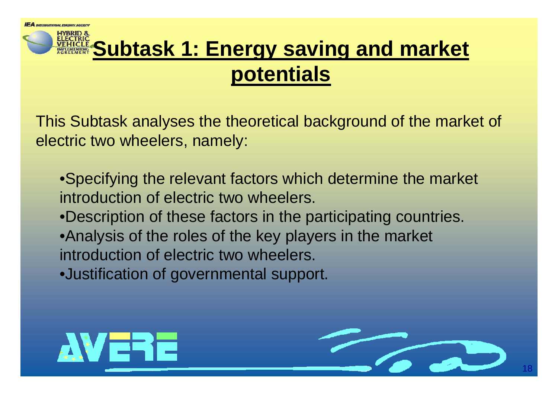# **Subtask 1: Energy saving and market potentials**

This Subtask analyses the theoretical background of the market of electric two wheelers, namely:

•Specifying the relevant factors which determine the market introduction of electric two wheelers. •Description of these factors in the participating countries. •Analysis of the roles of the key players in the market introduction of electric two wheelers. •Justification of governmental support.



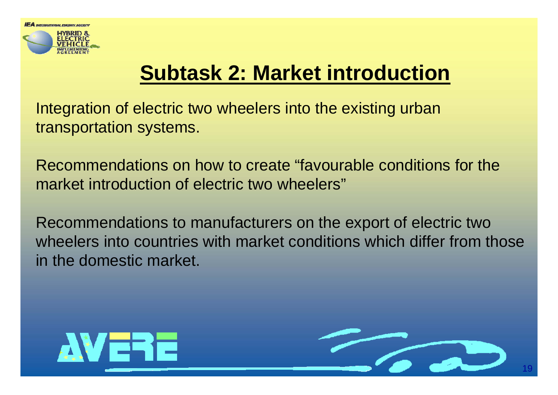

# **Subtask 2: Market introduction**

Integration of electric two wheelers into the existing urban transportation systems.

Recommendations on how to create "favourable conditions for the market introduction of electric two wheelers"

Recommendations to manufacturers on the export of electric two wheelers into countries with market conditions which differ from those in the domestic market.



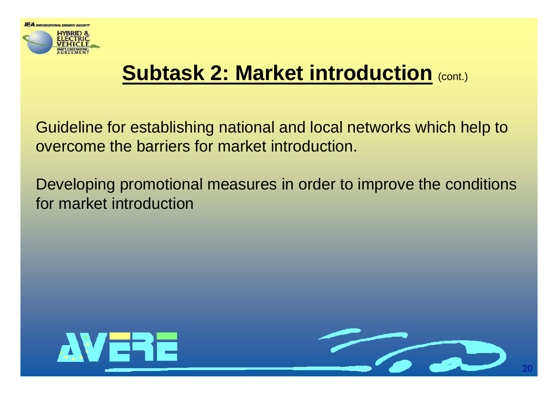

# **Subtask 2: Market introduction** (cont.)

Guideline for establishing national and local networks which help to overcome the barriers for market introduction.

Developing promotional measures in order to improve the conditions for market introduction



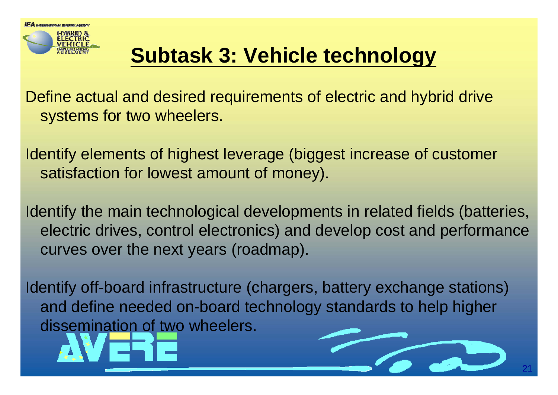

# **Subtask 3: Vehicle technology**

Define actual and desired requirements of electric and hybrid drive systems for two wheelers.

Identify elements of highest leverage (biggest increase of customer satisfaction for lowest amount of money).

Identify the main technological developments in related fields (batteries, electric drives, control electronics) and develop cost and performance curves over the next years (roadmap).

Identify off-board infrastructure (chargers, battery exchange stations) and define needed on-board technology standards to help higher dissemination of two wheelers.



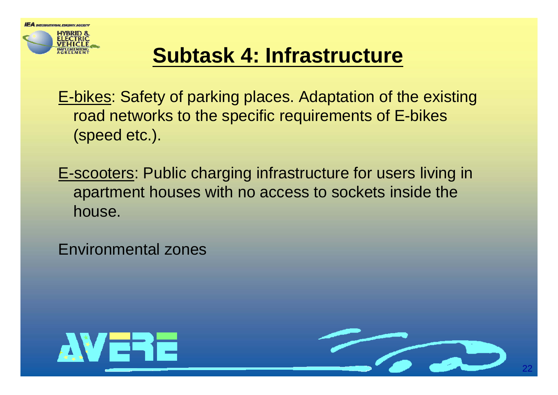**IEA** *NTERNATIONAL EMERI* 

## **Subtask 4: Infrastructure**

E-bikes: Safety of parking places. Adaptation of the existing road networks to the specific requirements of E-bikes (speed etc.).

E-scooters: Public charging infrastructure for users living in apartment houses with no access to sockets inside the house.

Environmental zones



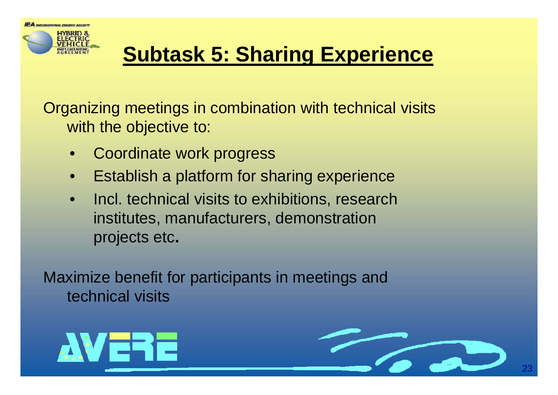# **Subtask 5: Sharing Experience**

Organizing meetings in combination with technical visits with the objective to:

- $\bullet$ Coordinate work progress
- $\bullet$ Establish a platform for sharing experience
- • Incl. technical visits to exhibitions, research institutes, manufacturers, demonstration projects etc**.**

Maximize benefit for participants in meetings and technical visits



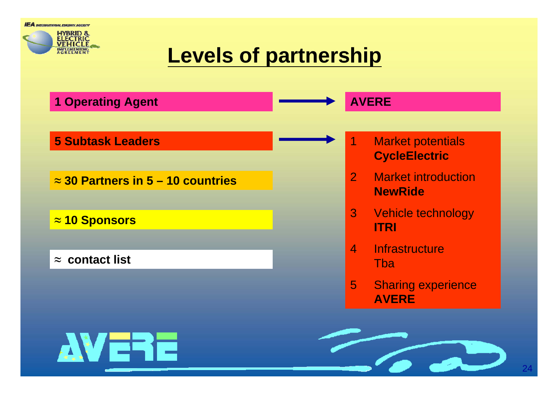**IEA** MEERNATIONAL EMERGY AGENCY



## **Levels of partnership**

| <b>1 Operating Agent</b>                  | <b>AVERE</b> |                |                                                  |
|-------------------------------------------|--------------|----------------|--------------------------------------------------|
| <b>5 Subtask Leaders</b>                  |              | 1              | <b>Market potentials</b><br><b>CycleElectric</b> |
| $\approx$ 30 Partners in 5 – 10 countries |              | 2 <sup>1</sup> | <b>Market introduction</b><br><b>NewRide</b>     |
| $\approx$ 10 Sponsors                     |              | 3 <sup>1</sup> | Vehicle technology<br><b>ITRI</b>                |
| $\approx$ contact list                    |              | $\overline{4}$ | <b>Infrastructure</b><br>Tba                     |
|                                           |              | 5 <sub>5</sub> | <b>Sharing experience</b><br><b>AVERE</b>        |
|                                           |              |                |                                                  |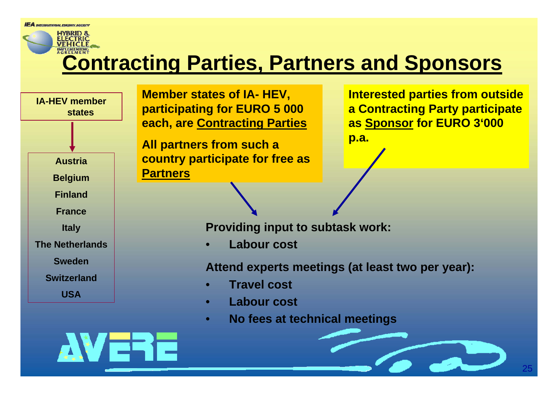### **Contracting Parties, Partners and Sponsors**

**IA-HEV member statesAustriaBelgium FinlandFranceItaly The NetherlandsSwedenSwitzerlandUSA**

**Member states of IA- HEV, participating for EURO 5 000 each, are Contracting Parties**

**All partners from such a country participate for free as Partners**

**Interested parties from outside a Contracting Party participate as Sponsor for EURO 3'000** 

**p.a.**

**Providing input to subtask work:**

•**Labour cost**

**Attend experts meetings (at least two per year):**

- •**Travel cost**
- •**Labour cost**
- •**No fees at technical meetings**

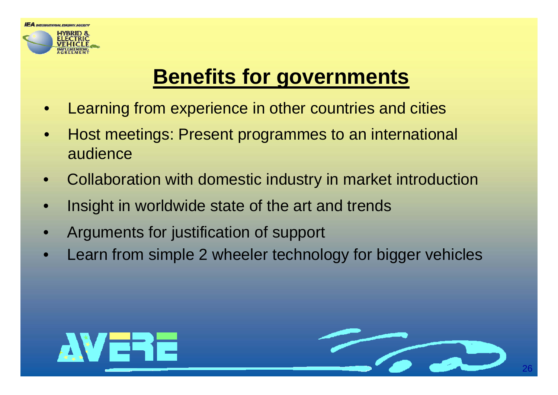

# **Benefits for governments**

- $\bullet$ Learning from experience in other countries and cities
- $\bullet$  Host meetings: Present programmes to an international audience
- $\bullet$ Collaboration with domestic industry in market introduction
- $\bullet$ Insight in worldwide state of the art and trends
- $\bullet$ Arguments for justification of support
- $\bullet$ Learn from simple 2 wheeler technology for bigger vehicles



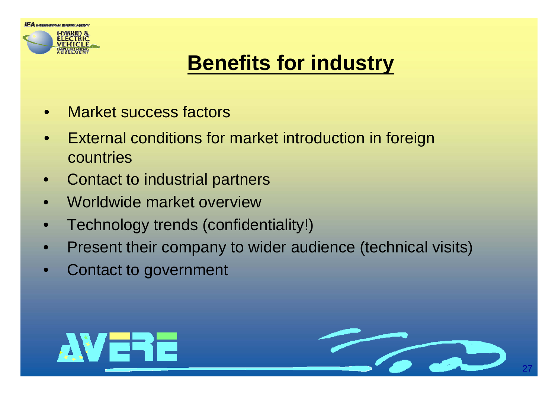

# **Benefits for industry**

- $\bullet$ Market success factors
- $\bullet$  External conditions for market introduction in foreign countries
- $\bullet$ Contact to industrial partners
- $\bullet$ Worldwide market overview
- $\bullet$ Technology trends (confidentiality!)
- $\bullet$ Present their company to wider audience (technical visits)
- $\bullet$ Contact to government



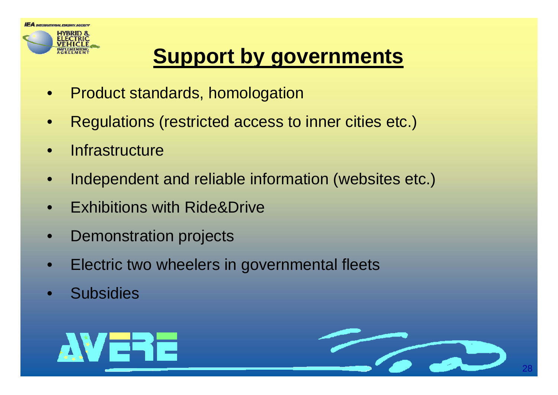

### **Support by governments**

- $\bullet$ Product standards, homologation
- $\bullet$ Regulations (restricted access to inner cities etc.)
- $\bullet$ **Infrastructure**
- •Independent and reliable information (websites etc.)
- •Exhibitions with Ride&Drive
- •Demonstration projects
- •Electric two wheelers in governmental fleets
- •**Subsidies**



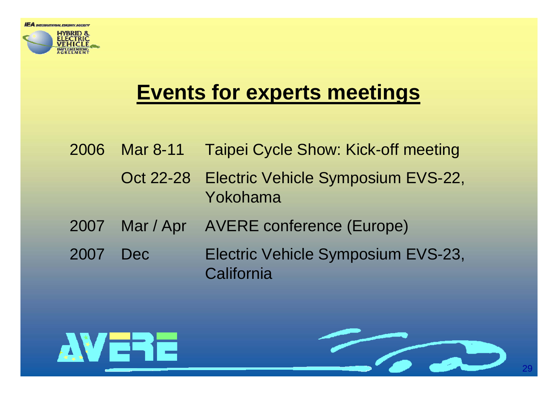

### **Events for experts meetings**

2006 Mar 8-11 Taipei Cycle Show: Kick-off meeting Oct 22-28 Electric Vehicle Symposium EVS-22, Yokohama2007 Mar / Apr AVERE conference (Europe) 2007 Dec Electric Vehicle Symposium EVS-23, **California** 

**AVERE**